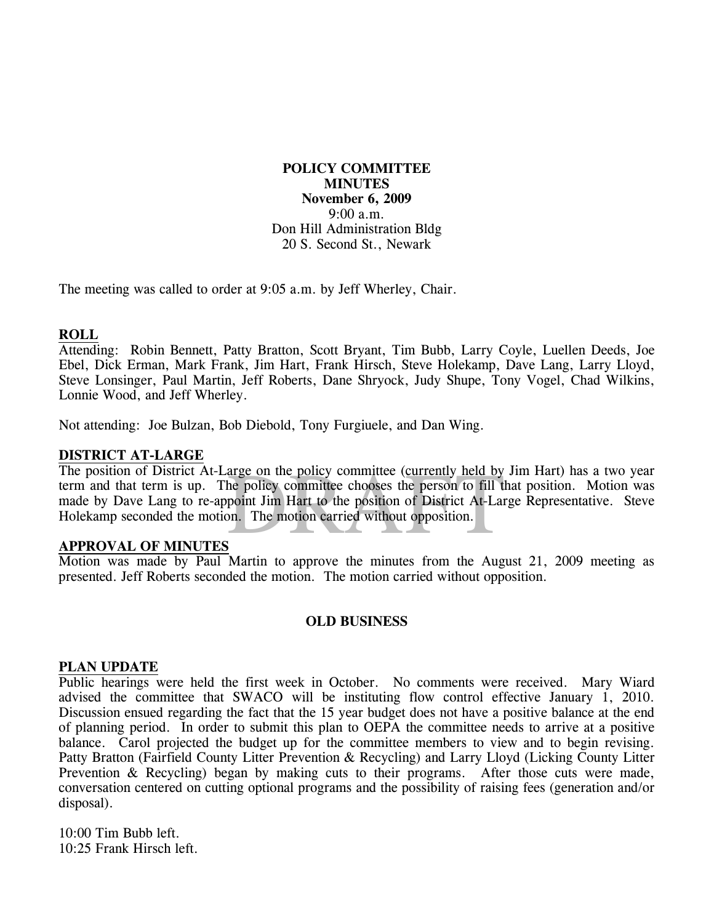**POLICY COMMITTEE MINUTES November 6, 2009**  9:00 a.m. Don Hill Administration Bldg 20 S. Second St., Newark

The meeting was called to order at 9:05 a.m. by Jeff Wherley, Chair.

#### **ROLL**

Attending: Robin Bennett, Patty Bratton, Scott Bryant, Tim Bubb, Larry Coyle, Luellen Deeds, Joe Ebel, Dick Erman, Mark Frank, Jim Hart, Frank Hirsch, Steve Holekamp, Dave Lang, Larry Lloyd, Steve Lonsinger, Paul Martin, Jeff Roberts, Dane Shryock, Judy Shupe, Tony Vogel, Chad Wilkins, Lonnie Wood, and Jeff Wherley.

Not attending: Joe Bulzan, Bob Diebold, Tony Furgiuele, and Dan Wing.

### **DISTRICT AT-LARGE**

arge on the policy committee (currently held by<br>he policy committee chooses the person to fill the<br>point Jim Hart to the position of District At-Lan<br>point. The motion carried without opposition. The position of District At-Large on the policy committee (currently held by Jim Hart) has a two year term and that term is up. The policy committee chooses the person to fill that position. Motion was made by Dave Lang to re-appoint Jim Hart to the position of District At-Large Representative. Steve Holekamp seconded the motion. The motion carried without opposition.

#### **APPROVAL OF MINUTES**

Motion was made by Paul Martin to approve the minutes from the August 21, 2009 meeting as presented. Jeff Roberts seconded the motion. The motion carried without opposition.

## **OLD BUSINESS**

#### **PLAN UPDATE**

Public hearings were held the first week in October. No comments were received. Mary Wiard advised the committee that SWACO will be instituting flow control effective January 1, 2010. Discussion ensued regarding the fact that the 15 year budget does not have a positive balance at the end of planning period. In order to submit this plan to OEPA the committee needs to arrive at a positive balance. Carol projected the budget up for the committee members to view and to begin revising. Patty Bratton (Fairfield County Litter Prevention & Recycling) and Larry Lloyd (Licking County Litter Prevention & Recycling) began by making cuts to their programs. After those cuts were made, conversation centered on cutting optional programs and the possibility of raising fees (generation and/or disposal).

10:00 Tim Bubb left. 10:25 Frank Hirsch left.